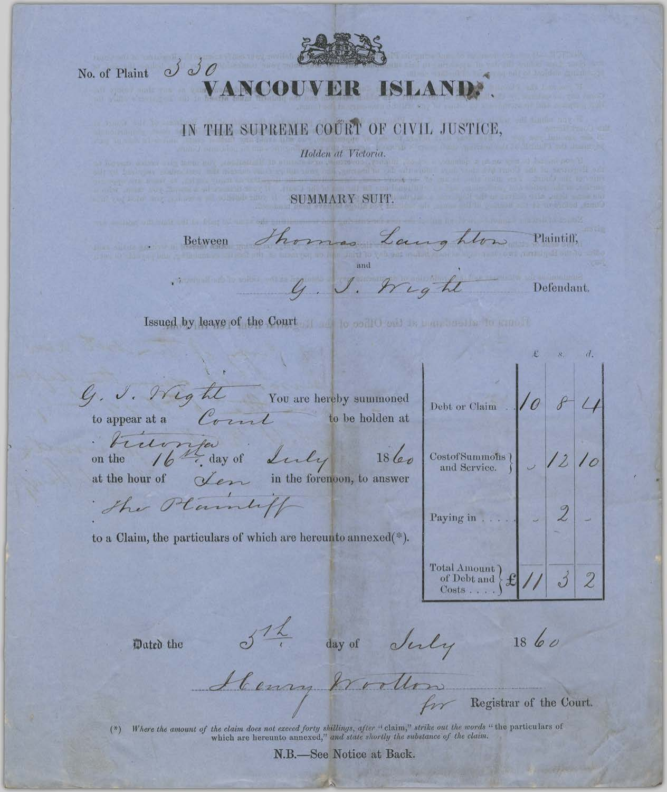## No. of Plaint  $\partial \partial \partial$ VANCOU **ISLAND:**

## IN THE SUPREME COURT OF CIVIL JUSTICE,

Holden at Victoria.

SUMMARY SUIT.

Between Thomas Launghton Plaintiff, G. J. Wight

Issued by leave of the Court of the coall the state of the control of the coall of the coall of the coall of the coall of the coall of the coall of the coall of the coall of the coall of the coall of the coall of the coall

G. J. Weght You are hereby summoned to appear at a  $\mathcal{C}_{\sigma}$  and to be holden at

triumfais du ly 1860 on the

at the hour of  $\chi_{\ell}$  in the forenoon, to answer

The Plaintiff

to a Claim, the particulars of which are hereunto annexed(\*).

Debt or Claim  $107$   $814$ CostofSummohs }  $\bigcup$  /2  $\overline{2}$ Total Amount  $\left\{\begin{matrix} \mathbf{f} & \mathbf{f} \\ \mathbf{f} & \mathbf{f} \end{matrix}\right\}$  $\overline{\mathcal{Z}}$ 

Defendant.

Dated the

Str day of July

 $1860$ 

Henry Wollow Registrar of the Court.

(\*) Where the amount of the claim does not exceed forty shillings, after "claim," strike out the words "the particulars of which are hereunto annexed," and state shortly the substance of the claim.

N.B.-See Notice at Back.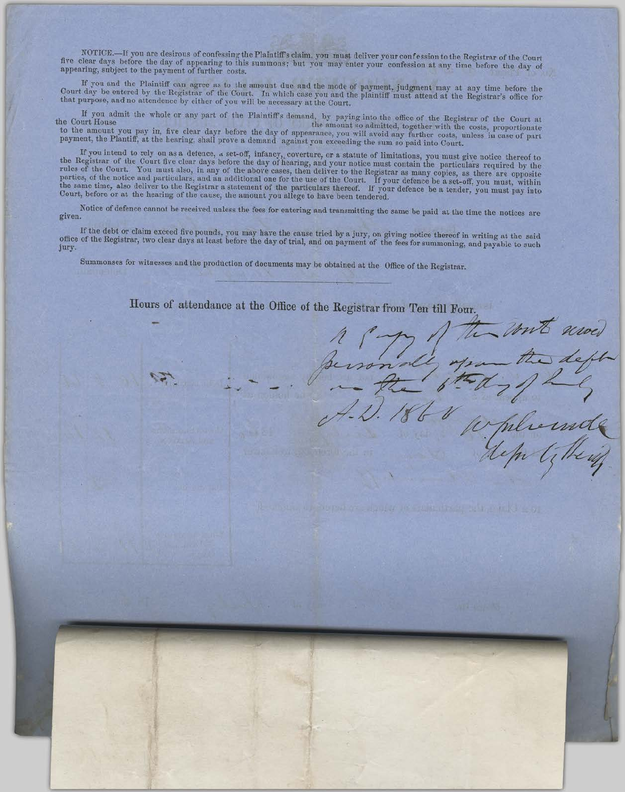NOTICE.—If you are desirous of confessing the Plaintiff's claim, you must deliver your confession to the Registrar of the Court five clear days before the day of appearing to this summons; but you may enter your confession appearing, subject to the payment of further costs.

If you and the Plaintiff can agree as to the amount due and the mode of payment, judgment may at any time before the Court day be entered by the Registrar of the Court. In which case you and the plaintiff must attend at the Registrar's office for that purpose, and no attendence by either of you will be necessary at the Court.

If you admit the whole or any part of the Plaintiff's demand, by paying into the office of the Registrar of the Court at the amount so admitted, together with the costs, proportionate the Court House to the amount you pay in, five clear dayr before the day of appearance, you will avoid any further costs, unless in case of part payment, the Plantiff, at the hearing, shall prove a demand against you exceeding the sum so paid into Court.

If you intend to rely on as a defence, a set-off, infancy, coverture, or a statute of limitations, you must give notice thereof to the Registrar of the Court five clear days before the day of hearing, and your notice must rules of the Court. You must also, in any of the above cases, then deliver to the Registrar as many copies, as there are opposite parties, of the notice and particulars, and an additional one for the use of the Court. If your defence be a set-off, you must, within<br>the same time, also deliver to the Registrar a statement of the particulars thereof. If Court, before or at the hearing of the cause, the amount you allege to have been tendered.

Notice of defence cannot be received unless the fees for entering and transmitting the same be paid at the time the notices are given.

If the debt or claim exceed five pounds, you may have the cause tried by a jury, on giving notice thereof in writing at the said office of the Registrar, two clear days at least before the day of trial, and on payment of t jury.

Hours of attendance at the Office of the Registrar from Ten till Four.

deft

Summonses for witnesses and the production of documents may be obtained at the Office of the Registrar.